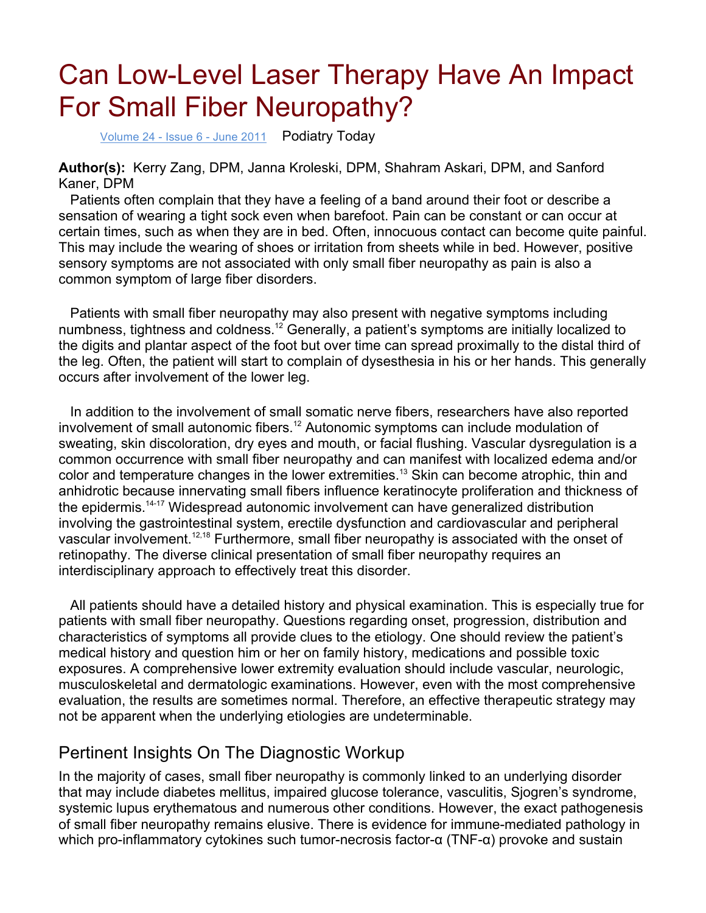# Can Low-Level Laser Therapy Have An Impact For Small Fiber Neuropathy?

Volume 24 - Issue 6 - June 2011 Podiatry Today

**Author(s):** Kerry Zang, DPM, Janna Kroleski, DPM, Shahram Askari, DPM, and Sanford Kaner, DPM

 Patients often complain that they have a feeling of a band around their foot or describe a sensation of wearing a tight sock even when barefoot. Pain can be constant or can occur at certain times, such as when they are in bed. Often, innocuous contact can become quite painful. This may include the wearing of shoes or irritation from sheets while in bed. However, positive sensory symptoms are not associated with only small fiber neuropathy as pain is also a common symptom of large fiber disorders.

 Patients with small fiber neuropathy may also present with negative symptoms including numbness, tightness and coldness.<sup>12</sup> Generally, a patient's symptoms are initially localized to the digits and plantar aspect of the foot but over time can spread proximally to the distal third of the leg. Often, the patient will start to complain of dysesthesia in his or her hands. This generally occurs after involvement of the lower leg.

 In addition to the involvement of small somatic nerve fibers, researchers have also reported involvement of small autonomic fibers.<sup>12</sup> Autonomic symptoms can include modulation of sweating, skin discoloration, dry eyes and mouth, or facial flushing. Vascular dysregulation is a common occurrence with small fiber neuropathy and can manifest with localized edema and/or color and temperature changes in the lower extremities.<sup>13</sup> Skin can become atrophic, thin and anhidrotic because innervating small fibers influence keratinocyte proliferation and thickness of the epidermis.14-17 Widespread autonomic involvement can have generalized distribution involving the gastrointestinal system, erectile dysfunction and cardiovascular and peripheral vascular involvement.<sup>12,18</sup> Furthermore, small fiber neuropathy is associated with the onset of retinopathy. The diverse clinical presentation of small fiber neuropathy requires an interdisciplinary approach to effectively treat this disorder.

 All patients should have a detailed history and physical examination. This is especially true for patients with small fiber neuropathy. Questions regarding onset, progression, distribution and characteristics of symptoms all provide clues to the etiology. One should review the patient's medical history and question him or her on family history, medications and possible toxic exposures. A comprehensive lower extremity evaluation should include vascular, neurologic, musculoskeletal and dermatologic examinations. However, even with the most comprehensive evaluation, the results are sometimes normal. Therefore, an effective therapeutic strategy may not be apparent when the underlying etiologies are undeterminable.

### Pertinent Insights On The Diagnostic Workup

In the majority of cases, small fiber neuropathy is commonly linked to an underlying disorder that may include diabetes mellitus, impaired glucose tolerance, vasculitis, Sjogren's syndrome, systemic lupus erythematous and numerous other conditions. However, the exact pathogenesis of small fiber neuropathy remains elusive. There is evidence for immune-mediated pathology in which pro-inflammatory cytokines such tumor-necrosis factor-α (TNF-α) provoke and sustain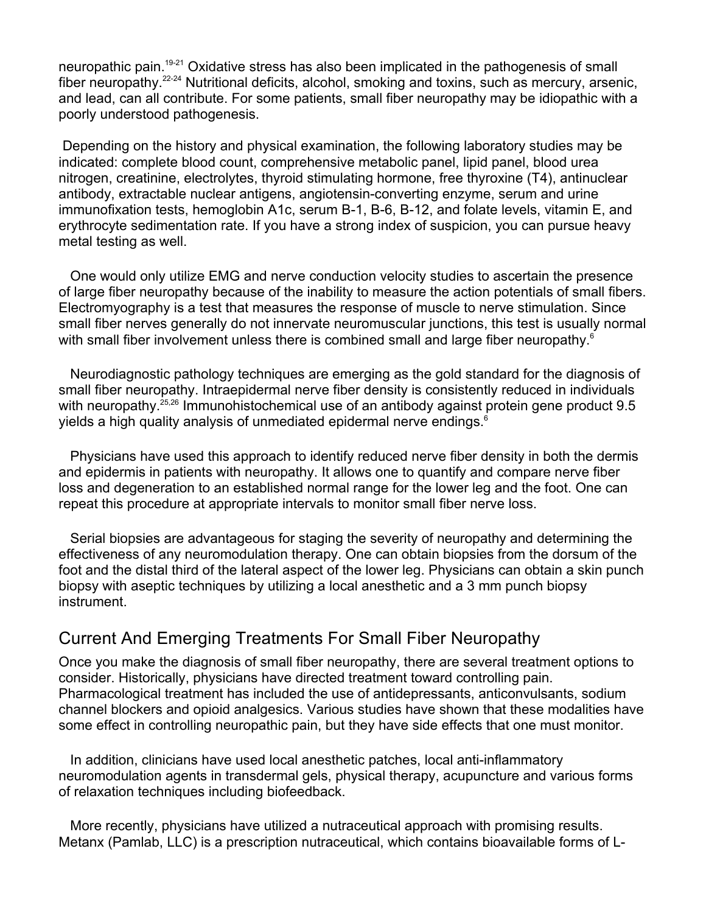neuropathic pain.19-21 Oxidative stress has also been implicated in the pathogenesis of small fiber neuropathy.<sup>22-24</sup> Nutritional deficits, alcohol, smoking and toxins, such as mercury, arsenic, and lead, can all contribute. For some patients, small fiber neuropathy may be idiopathic with a poorly understood pathogenesis.

 Depending on the history and physical examination, the following laboratory studies may be indicated: complete blood count, comprehensive metabolic panel, lipid panel, blood urea nitrogen, creatinine, electrolytes, thyroid stimulating hormone, free thyroxine (T4), antinuclear antibody, extractable nuclear antigens, angiotensin-converting enzyme, serum and urine immunofixation tests, hemoglobin A1c, serum B-1, B-6, B-12, and folate levels, vitamin E, and erythrocyte sedimentation rate. If you have a strong index of suspicion, you can pursue heavy metal testing as well.

 One would only utilize EMG and nerve conduction velocity studies to ascertain the presence of large fiber neuropathy because of the inability to measure the action potentials of small fibers. Electromyography is a test that measures the response of muscle to nerve stimulation. Since small fiber nerves generally do not innervate neuromuscular junctions, this test is usually normal with small fiber involvement unless there is combined small and large fiber neuropathy.<sup>6</sup>

 Neurodiagnostic pathology techniques are emerging as the gold standard for the diagnosis of small fiber neuropathy. Intraepidermal nerve fiber density is consistently reduced in individuals with neuropathy.<sup>25,26</sup> Immunohistochemical use of an antibody against protein gene product 9.5 yields a high quality analysis of unmediated epidermal nerve endings.<sup>6</sup>

 Physicians have used this approach to identify reduced nerve fiber density in both the dermis and epidermis in patients with neuropathy. It allows one to quantify and compare nerve fiber loss and degeneration to an established normal range for the lower leg and the foot. One can repeat this procedure at appropriate intervals to monitor small fiber nerve loss.

 Serial biopsies are advantageous for staging the severity of neuropathy and determining the effectiveness of any neuromodulation therapy. One can obtain biopsies from the dorsum of the foot and the distal third of the lateral aspect of the lower leg. Physicians can obtain a skin punch biopsy with aseptic techniques by utilizing a local anesthetic and a 3 mm punch biopsy instrument.

### Current And Emerging Treatments For Small Fiber Neuropathy

Once you make the diagnosis of small fiber neuropathy, there are several treatment options to consider. Historically, physicians have directed treatment toward controlling pain. Pharmacological treatment has included the use of antidepressants, anticonvulsants, sodium channel blockers and opioid analgesics. Various studies have shown that these modalities have some effect in controlling neuropathic pain, but they have side effects that one must monitor.

 In addition, clinicians have used local anesthetic patches, local anti-inflammatory neuromodulation agents in transdermal gels, physical therapy, acupuncture and various forms of relaxation techniques including biofeedback.

 More recently, physicians have utilized a nutraceutical approach with promising results. Metanx (Pamlab, LLC) is a prescription nutraceutical, which contains bioavailable forms of L-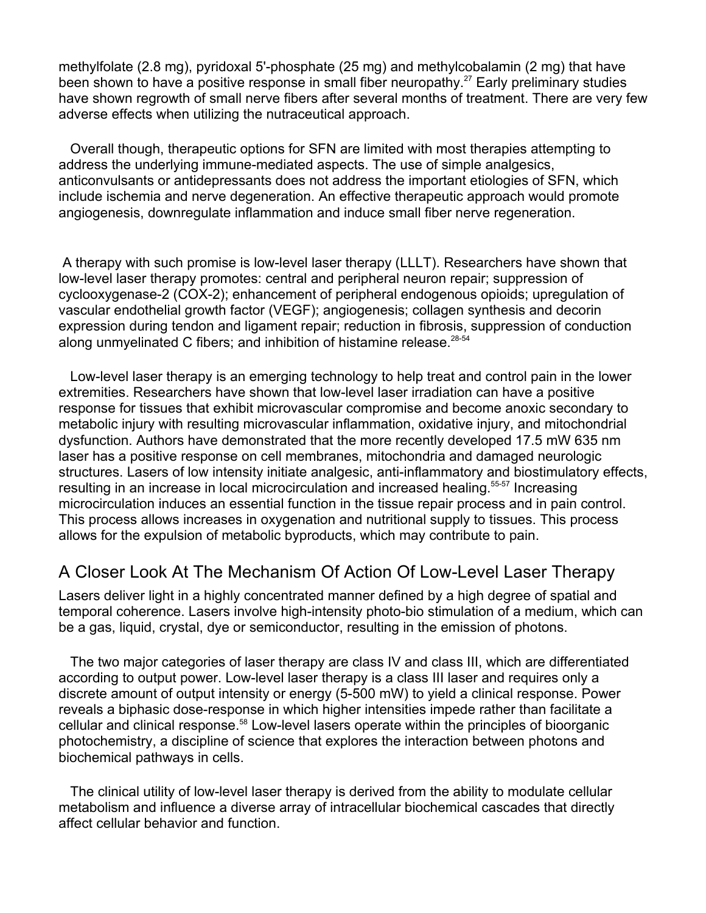methylfolate (2.8 mg), pyridoxal 5'-phosphate (25 mg) and methylcobalamin (2 mg) that have been shown to have a positive response in small fiber neuropathy.<sup>27</sup> Early preliminary studies have shown regrowth of small nerve fibers after several months of treatment. There are very few adverse effects when utilizing the nutraceutical approach.

 Overall though, therapeutic options for SFN are limited with most therapies attempting to address the underlying immune-mediated aspects. The use of simple analgesics, anticonvulsants or antidepressants does not address the important etiologies of SFN, which include ischemia and nerve degeneration. An effective therapeutic approach would promote angiogenesis, downregulate inflammation and induce small fiber nerve regeneration.

 A therapy with such promise is low-level laser therapy (LLLT). Researchers have shown that low-level laser therapy promotes: central and peripheral neuron repair; suppression of cyclooxygenase-2 (COX-2); enhancement of peripheral endogenous opioids; upregulation of vascular endothelial growth factor (VEGF); angiogenesis; collagen synthesis and decorin expression during tendon and ligament repair; reduction in fibrosis, suppression of conduction along unmyelinated C fibers; and inhibition of histamine release. $28-54$ 

 Low-level laser therapy is an emerging technology to help treat and control pain in the lower extremities. Researchers have shown that low-level laser irradiation can have a positive response for tissues that exhibit microvascular compromise and become anoxic secondary to metabolic injury with resulting microvascular inflammation, oxidative injury, and mitochondrial dysfunction. Authors have demonstrated that the more recently developed 17.5 mW 635 nm laser has a positive response on cell membranes, mitochondria and damaged neurologic structures. Lasers of low intensity initiate analgesic, anti-inflammatory and biostimulatory effects, resulting in an increase in local microcirculation and increased healing.<sup>55-57</sup> Increasing microcirculation induces an essential function in the tissue repair process and in pain control. This process allows increases in oxygenation and nutritional supply to tissues. This process allows for the expulsion of metabolic byproducts, which may contribute to pain.

## A Closer Look At The Mechanism Of Action Of Low-Level Laser Therapy

Lasers deliver light in a highly concentrated manner defined by a high degree of spatial and temporal coherence. Lasers involve high-intensity photo-bio stimulation of a medium, which can be a gas, liquid, crystal, dye or semiconductor, resulting in the emission of photons.

 The two major categories of laser therapy are class IV and class III, which are differentiated according to output power. Low-level laser therapy is a class III laser and requires only a discrete amount of output intensity or energy (5-500 mW) to yield a clinical response. Power reveals a biphasic dose-response in which higher intensities impede rather than facilitate a cellular and clinical response.<sup>58</sup> Low-level lasers operate within the principles of bioorganic photochemistry, a discipline of science that explores the interaction between photons and biochemical pathways in cells.

 The clinical utility of low-level laser therapy is derived from the ability to modulate cellular metabolism and influence a diverse array of intracellular biochemical cascades that directly affect cellular behavior and function.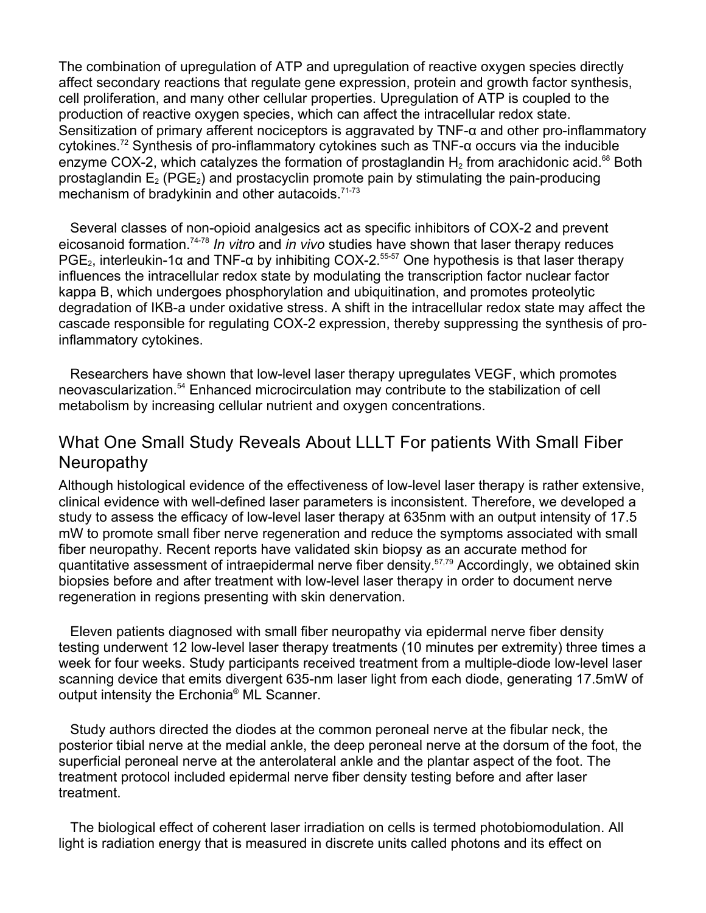The combination of upregulation of ATP and upregulation of reactive oxygen species directly affect secondary reactions that regulate gene expression, protein and growth factor synthesis, cell proliferation, and many other cellular properties. Upregulation of ATP is coupled to the production of reactive oxygen species, which can affect the intracellular redox state. Sensitization of primary afferent nociceptors is aggravated by TNF-α and other pro-inflammatory cytokines.<sup>72</sup> Synthesis of pro-inflammatory cytokines such as TNF- $\alpha$  occurs via the inducible enzyme COX-2, which catalyzes the formation of prostaglandin  $H_2$  from arachidonic acid.<sup>68</sup> Both prostaglandin  $E_2$  (PGE<sub>2</sub>) and prostacyclin promote pain by stimulating the pain-producing mechanism of bradykinin and other autacoids.<sup>71-73</sup>

 Several classes of non-opioid analgesics act as specific inhibitors of COX-2 and prevent eicosanoid formation.74-78 *In vitro* and *in vivo* studies have shown that laser therapy reduces PGE<sub>2</sub>, interleukin-1α and TNF-α by inhibiting COX-2.<sup>55-57</sup> One hypothesis is that laser therapy influences the intracellular redox state by modulating the transcription factor nuclear factor kappa B, which undergoes phosphorylation and ubiquitination, and promotes proteolytic degradation of IKB-a under oxidative stress. A shift in the intracellular redox state may affect the cascade responsible for regulating COX-2 expression, thereby suppressing the synthesis of proinflammatory cytokines.

 Researchers have shown that low-level laser therapy upregulates VEGF, which promotes neovascularization.<sup>54</sup> Enhanced microcirculation may contribute to the stabilization of cell metabolism by increasing cellular nutrient and oxygen concentrations.

# What One Small Study Reveals About LLLT For patients With Small Fiber Neuropathy

Although histological evidence of the effectiveness of low-level laser therapy is rather extensive, clinical evidence with well-defined laser parameters is inconsistent. Therefore, we developed a study to assess the efficacy of low-level laser therapy at 635nm with an output intensity of 17.5 mW to promote small fiber nerve regeneration and reduce the symptoms associated with small fiber neuropathy. Recent reports have validated skin biopsy as an accurate method for quantitative assessment of intraepidermal nerve fiber density.57,79 Accordingly, we obtained skin biopsies before and after treatment with low-level laser therapy in order to document nerve regeneration in regions presenting with skin denervation.

 Eleven patients diagnosed with small fiber neuropathy via epidermal nerve fiber density testing underwent 12 low-level laser therapy treatments (10 minutes per extremity) three times a week for four weeks. Study participants received treatment from a multiple-diode low-level laser scanning device that emits divergent 635-nm laser light from each diode, generating 17.5mW of output intensity the Erchonia® ML Scanner.

 Study authors directed the diodes at the common peroneal nerve at the fibular neck, the posterior tibial nerve at the medial ankle, the deep peroneal nerve at the dorsum of the foot, the superficial peroneal nerve at the anterolateral ankle and the plantar aspect of the foot. The treatment protocol included epidermal nerve fiber density testing before and after laser treatment.

 The biological effect of coherent laser irradiation on cells is termed photobiomodulation. All light is radiation energy that is measured in discrete units called photons and its effect on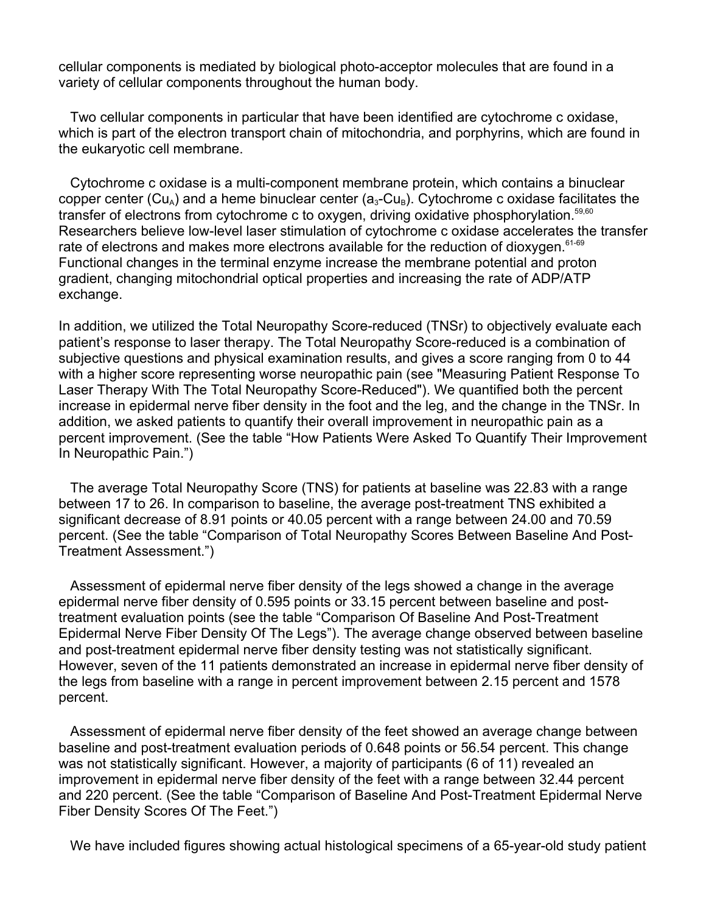cellular components is mediated by biological photo-acceptor molecules that are found in a variety of cellular components throughout the human body.

 Two cellular components in particular that have been identified are cytochrome c oxidase, which is part of the electron transport chain of mitochondria, and porphyrins, which are found in the eukaryotic cell membrane.

 Cytochrome c oxidase is a multi-component membrane protein, which contains a binuclear copper center (Cu<sub>A</sub>) and a heme binuclear center ( $a_3$ -Cu<sub>B</sub>). Cytochrome c oxidase facilitates the transfer of electrons from cytochrome c to oxygen, driving oxidative phosphorylation.<sup>59,60</sup> Researchers believe low-level laser stimulation of cytochrome c oxidase accelerates the transfer rate of electrons and makes more electrons available for the reduction of dioxygen.<sup>61-69</sup> Functional changes in the terminal enzyme increase the membrane potential and proton gradient, changing mitochondrial optical properties and increasing the rate of ADP/ATP exchange.

In addition, we utilized the Total Neuropathy Score-reduced (TNSr) to objectively evaluate each patient's response to laser therapy. The Total Neuropathy Score-reduced is a combination of subjective questions and physical examination results, and gives a score ranging from 0 to 44 with a higher score representing worse neuropathic pain (see "Measuring Patient Response To Laser Therapy With The Total Neuropathy Score-Reduced"). We quantified both the percent increase in epidermal nerve fiber density in the foot and the leg, and the change in the TNSr. In addition, we asked patients to quantify their overall improvement in neuropathic pain as a percent improvement. (See the table "How Patients Were Asked To Quantify Their Improvement In Neuropathic Pain.")

 The average Total Neuropathy Score (TNS) for patients at baseline was 22.83 with a range between 17 to 26. In comparison to baseline, the average post-treatment TNS exhibited a significant decrease of 8.91 points or 40.05 percent with a range between 24.00 and 70.59 percent. (See the table "Comparison of Total Neuropathy Scores Between Baseline And Post-Treatment Assessment.")

 Assessment of epidermal nerve fiber density of the legs showed a change in the average epidermal nerve fiber density of 0.595 points or 33.15 percent between baseline and posttreatment evaluation points (see the table "Comparison Of Baseline And Post-Treatment Epidermal Nerve Fiber Density Of The Legs"). The average change observed between baseline and post-treatment epidermal nerve fiber density testing was not statistically significant. However, seven of the 11 patients demonstrated an increase in epidermal nerve fiber density of the legs from baseline with a range in percent improvement between 2.15 percent and 1578 percent.

 Assessment of epidermal nerve fiber density of the feet showed an average change between baseline and post-treatment evaluation periods of 0.648 points or 56.54 percent. This change was not statistically significant. However, a majority of participants (6 of 11) revealed an improvement in epidermal nerve fiber density of the feet with a range between 32.44 percent and 220 percent. (See the table "Comparison of Baseline And Post-Treatment Epidermal Nerve Fiber Density Scores Of The Feet.")

We have included figures showing actual histological specimens of a 65-year-old study patient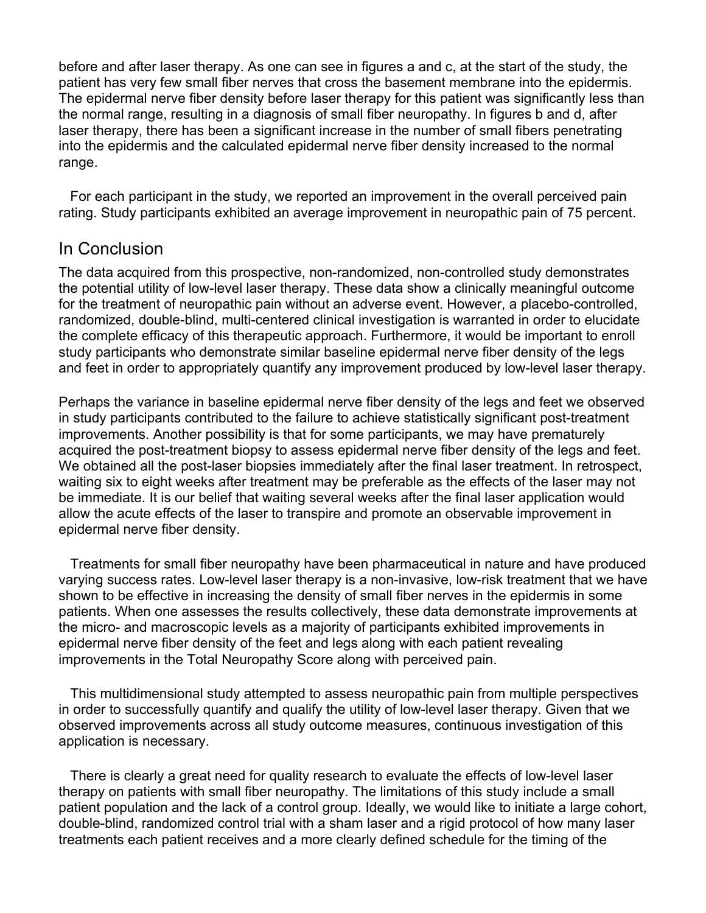before and after laser therapy. As one can see in figures a and c, at the start of the study, the patient has very few small fiber nerves that cross the basement membrane into the epidermis. The epidermal nerve fiber density before laser therapy for this patient was significantly less than the normal range, resulting in a diagnosis of small fiber neuropathy. In figures b and d, after laser therapy, there has been a significant increase in the number of small fibers penetrating into the epidermis and the calculated epidermal nerve fiber density increased to the normal range.

 For each participant in the study, we reported an improvement in the overall perceived pain rating. Study participants exhibited an average improvement in neuropathic pain of 75 percent.

#### In Conclusion

The data acquired from this prospective, non-randomized, non-controlled study demonstrates the potential utility of low-level laser therapy. These data show a clinically meaningful outcome for the treatment of neuropathic pain without an adverse event. However, a placebo-controlled, randomized, double-blind, multi-centered clinical investigation is warranted in order to elucidate the complete efficacy of this therapeutic approach. Furthermore, it would be important to enroll study participants who demonstrate similar baseline epidermal nerve fiber density of the legs and feet in order to appropriately quantify any improvement produced by low-level laser therapy.

Perhaps the variance in baseline epidermal nerve fiber density of the legs and feet we observed in study participants contributed to the failure to achieve statistically significant post-treatment improvements. Another possibility is that for some participants, we may have prematurely acquired the post-treatment biopsy to assess epidermal nerve fiber density of the legs and feet. We obtained all the post-laser biopsies immediately after the final laser treatment. In retrospect, waiting six to eight weeks after treatment may be preferable as the effects of the laser may not be immediate. It is our belief that waiting several weeks after the final laser application would allow the acute effects of the laser to transpire and promote an observable improvement in epidermal nerve fiber density.

 Treatments for small fiber neuropathy have been pharmaceutical in nature and have produced varying success rates. Low-level laser therapy is a non-invasive, low-risk treatment that we have shown to be effective in increasing the density of small fiber nerves in the epidermis in some patients. When one assesses the results collectively, these data demonstrate improvements at the micro- and macroscopic levels as a majority of participants exhibited improvements in epidermal nerve fiber density of the feet and legs along with each patient revealing improvements in the Total Neuropathy Score along with perceived pain.

 This multidimensional study attempted to assess neuropathic pain from multiple perspectives in order to successfully quantify and qualify the utility of low-level laser therapy. Given that we observed improvements across all study outcome measures, continuous investigation of this application is necessary.

 There is clearly a great need for quality research to evaluate the effects of low-level laser therapy on patients with small fiber neuropathy. The limitations of this study include a small patient population and the lack of a control group. Ideally, we would like to initiate a large cohort, double-blind, randomized control trial with a sham laser and a rigid protocol of how many laser treatments each patient receives and a more clearly defined schedule for the timing of the